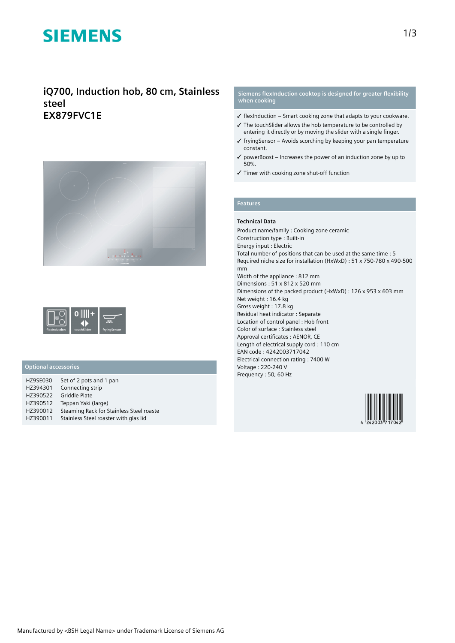# **SIEMENS**

# **iQ700, Induction hob, 80 cm, Stainless steel EX879FVC1E**





### **Optional accessories**

| Set of 2 pots and 1 pan                  |
|------------------------------------------|
| Connecting strip                         |
| <b>Griddle Plate</b>                     |
| Teppan Yaki (large)                      |
| Steaming Rack for Stainless Steel roaste |
| Stainless Steel roaster with glas lid    |
|                                          |

### **Siemens flexInduction cooktop is designed for greater flexibility when cooking**

- $\checkmark$  flexInduction Smart cooking zone that adapts to your cookware.
- ✓ The touchSlider allows the hob temperature to be controlled by entering it directly or by moving the slider with a single finger.
- $\checkmark$  fryingSensor Avoids scorching by keeping your pan temperature constant.
- $\checkmark$  powerBoost Increases the power of an induction zone by up to 50%.
- ✓ Timer with cooking zone shut-off function

#### **Features**

#### **Technical Data**

Product name/family : Cooking zone ceramic Construction type : Built-in Energy input : Electric Total number of positions that can be used at the same time : 5 Required niche size for installation (HxWxD) : 51 x 750-780 x 490-500 mm Width of the appliance : 812 mm Dimensions : 51 x 812 x 520 mm Dimensions of the packed product (HxWxD) : 126 x 953 x 603 mm Net weight : 16.4 kg Gross weight : 17.8 kg Residual heat indicator : Separate Location of control panel : Hob front Color of surface : Stainless steel Approval certificates : AENOR, CE Length of electrical supply cord : 110 cm EAN code : 4242003717042 Electrical connection rating : 7400 W Voltage : 220-240 V Frequency : 50; 60 Hz

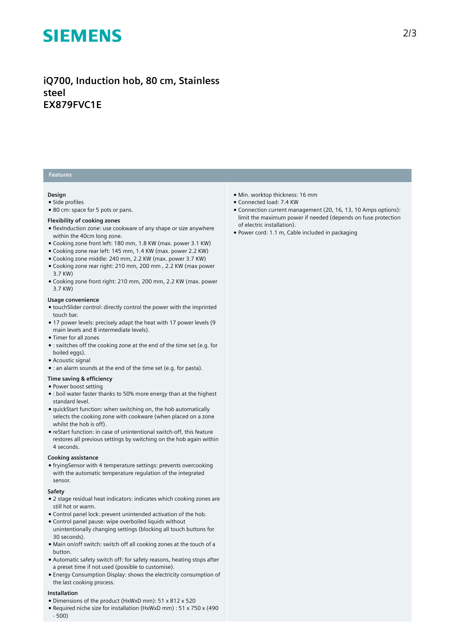# **SIEMENS**

**iQ700, Induction hob, 80 cm, Stainless steel EX879FVC1E**

### **Features**

#### **Design**

- Side profiles
- 80 cm: space for 5 pots or pans.

#### **Flexibility of cooking zones**

- flexInduction zone: use cookware of any shape or size anywhere within the 40cm long zone.
- Cooking zone front left: 180 mm, 1.8 KW (max. power 3.1 KW)
- Cooking zone rear left: 145 mm, 1.4 KW (max. power 2.2 KW)
- Cooking zone middle: 240 mm, 2.2 KW (max. power 3.7 KW)
- Cooking zone rear right: 210 mm, 200 mm , 2.2 KW (max power 3.7 KW)
- Cooking zone front right: 210 mm, 200 mm, 2.2 KW (max. power 3.7 KW)

#### **Usage convenience**

- touchSlider control: directly control the power with the imprinted touch bar.
- 17 power levels: precisely adapt the heat with 17 power levels (9 main levels and 8 intermediate levels).
- Timer for all zones
- : switches off the cooking zone at the end of the time set (e.g. for boiled eggs).
- Acoustic signal
- : an alarm sounds at the end of the time set (e.g. for pasta).

## **Time saving & efficiency**

#### ● Power boost setting

- : boil water faster thanks to 50% more energy than at the highest standard level.
- quickStart function: when switching on, the hob automatically selects the cooking zone with cookware (when placed on a zone whilst the hob is off).
- reStart function: in case of unintentional switch-off, this feature restores all previous settings by switching on the hob again within 4 seconds.

#### **Cooking assistance**

● fryingSensor with 4 temperature settings: prevents overcooking with the automatic temperature regulation of the integrated sensor.

#### **Safety**

- 2 stage residual heat indicators: indicates which cooking zones are still hot or warm.
- Control panel lock: prevent unintended activation of the hob.
- Control panel pause: wipe overboiled liquids without unintentionally changing settings (blocking all touch buttons for 30 seconds).
- Main on/off switch: switch off all cooking zones at the touch of a button.
- Automatic safety switch off: for safety reasons, heating stops after a preset time if not used (possible to customise).
- Energy Consumption Display: shows the electricity consumption of the last cooking process.

#### **Installation**

- Dimensions of the product (HxWxD mm): 51 x 812 x 520
- Required niche size for installation (HxWxD mm) : 51 x 750 x (490 - 500)
- Min. worktop thickness: 16 mm
- Connected load: 7.4 KW
- Connection current management (20, 16, 13, 10 Amps options): limit the maximum power if needed (depends on fuse protection of electric installation).
- Power cord: 1.1 m, Cable included in packaging